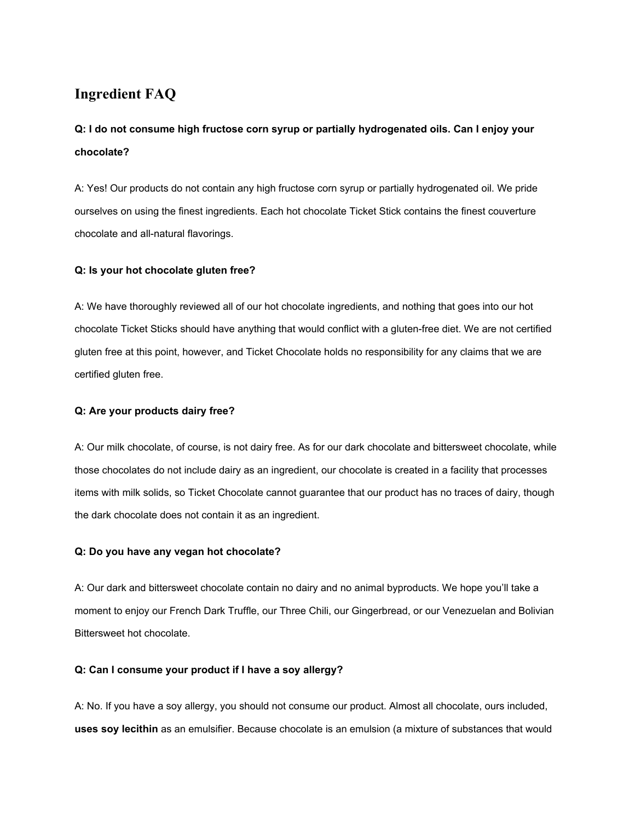# **Ingredient FAQ**

# **Q: I do not consume high fructose corn syrup or partially hydrogenated oils. Can I enjoy your chocolate?**

A: Yes! Our products do not contain any high fructose corn syrup or partially hydrogenated oil. We pride ourselves on using the finest ingredients. Each hot chocolate Ticket Stick contains the finest couverture chocolate and all-natural flavorings.

### **Q: Is your hot chocolate gluten free?**

A: We have thoroughly reviewed all of our hot chocolate ingredients, and nothing that goes into our hot chocolate Ticket Sticks should have anything that would conflict with a gluten-free diet. We are not certified gluten free at this point, however, and Ticket Chocolate holds no responsibility for any claims that we are certified gluten free.

#### **Q: Are your products dairy free?**

A: Our milk chocolate, of course, is not dairy free. As for our dark chocolate and bittersweet chocolate, while those chocolates do not include dairy as an ingredient, our chocolate is created in a facility that processes items with milk solids, so Ticket Chocolate cannot guarantee that our product has no traces of dairy, though the dark chocolate does not contain it as an ingredient.

#### **Q: Do you have any vegan hot chocolate?**

A: Our dark and bittersweet chocolate contain no dairy and no animal byproducts. We hope you'll take a moment to enjoy our French Dark Truffle, our Three Chili, our Gingerbread, or our Venezuelan and Bolivian Bittersweet hot chocolate.

### **Q: Can I consume your product if I have a soy allergy?**

A: No. If you have a soy allergy, you should not consume our product. Almost all chocolate, ours included, **uses soy lecithin**as an emulsifier. Because chocolate is an emulsion (a mixture of substances that would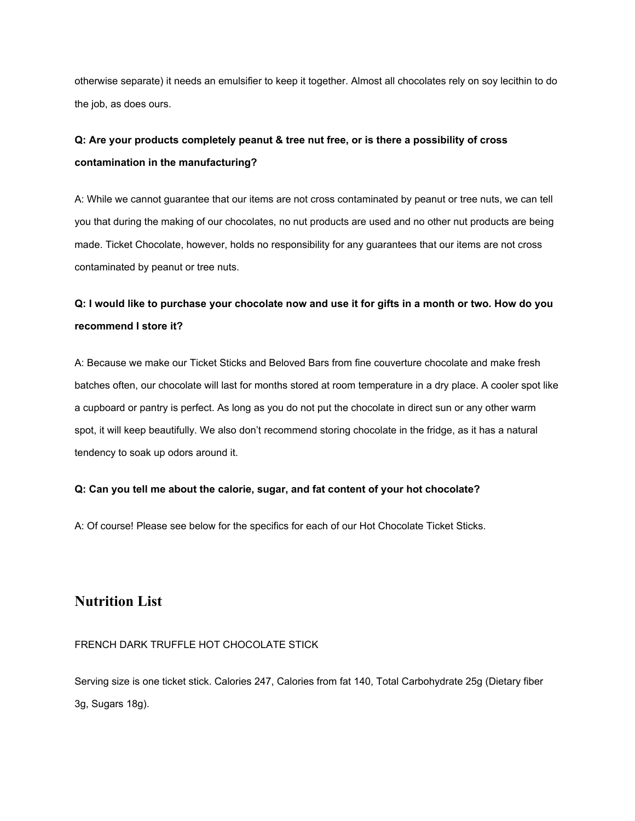otherwise separate) it needs an emulsifier to keep it together. Almost all chocolates rely on soy lecithin to do the job, as does ours.

# **Q: Are your products completely peanut & tree nut free, or is there a possibility of cross contamination in the manufacturing?**

A: While we cannot guarantee that our items are not cross contaminated by peanut or tree nuts, we can tell you that during the making of our chocolates, no nut products are used and no other nut products are being made. Ticket Chocolate, however, holds no responsibility for any guarantees that our items are not cross contaminated by peanut or tree nuts.

# Q: I would like to purchase your chocolate now and use it for gifts in a month or two. How do you **recommend I store it?**

A: Because we make our Ticket Sticks and Beloved Bars from fine couverture chocolate and make fresh batches often, our chocolate will last for months stored at room temperature in a dry place. A cooler spot like a cupboard or pantry is perfect. As long as you do not put the chocolate in direct sun or any other warm spot, it will keep beautifully. We also don't recommend storing chocolate in the fridge, as it has a natural tendency to soak up odors around it.

### **Q: Can you tell me about the calorie, sugar, and fat content of your hot chocolate?**

A: Of course! Please see below for the specifics for each of our Hot Chocolate Ticket Sticks.

## **Nutrition List**

### FRENCH DARK TRUFFLE HOT CHOCOLATE STICK

Serving size is one ticket stick. Calories 247, Calories from fat 140, Total Carbohydrate 25g (Dietary fiber 3g, Sugars 18g).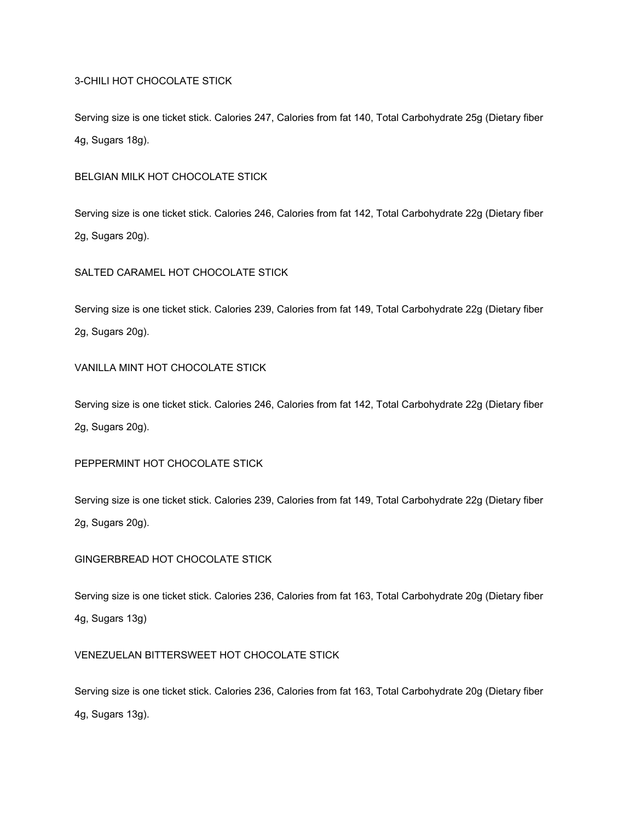### 3CHILI HOT CHOCOLATE STICK

Serving size is one ticket stick. Calories 247, Calories from fat 140, Total Carbohydrate 25g (Dietary fiber 4g, Sugars 18g).

### BELGIAN MILK HOT CHOCOLATE STICK

Serving size is one ticket stick. Calories 246, Calories from fat 142, Total Carbohydrate 22g (Dietary fiber 2g, Sugars 20g).

#### SALTED CARAMEL HOT CHOCOLATE STICK

Serving size is one ticket stick. Calories 239, Calories from fat 149, Total Carbohydrate 22g (Dietary fiber 2g, Sugars 20g).

### VANILLA MINT HOT CHOCOLATE STICK

Serving size is one ticket stick. Calories 246, Calories from fat 142, Total Carbohydrate 22g (Dietary fiber 2g, Sugars 20g).

#### PEPPERMINT HOT CHOCOLATE STICK

Serving size is one ticket stick. Calories 239, Calories from fat 149, Total Carbohydrate 22g (Dietary fiber 2g, Sugars 20g).

### GINGERBREAD HOT CHOCOLATE STICK

Serving size is one ticket stick. Calories 236, Calories from fat 163, Total Carbohydrate 20g (Dietary fiber 4g, Sugars 13g)

#### VENEZUELAN BITTERSWEET HOT CHOCOLATE STICK

Serving size is one ticket stick. Calories 236, Calories from fat 163, Total Carbohydrate 20g (Dietary fiber 4g, Sugars 13g).